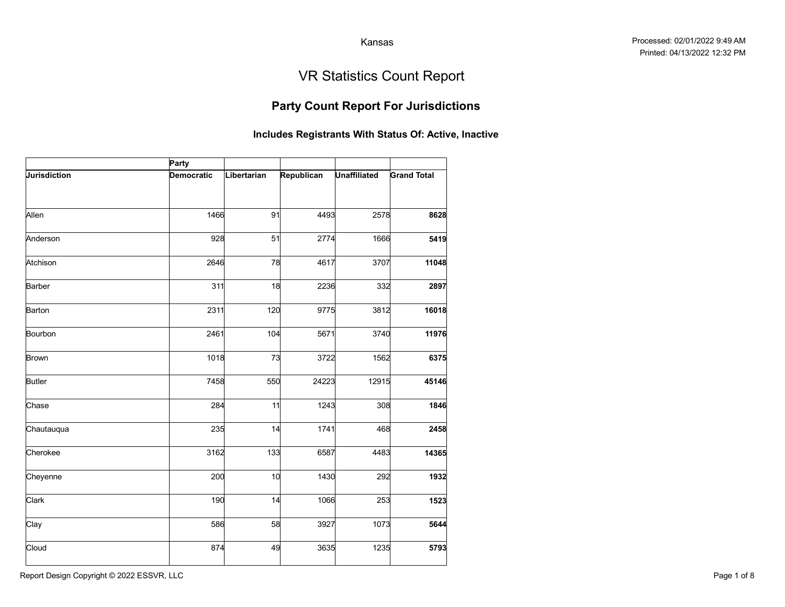## Party Count Report For Jurisdictions

|                     |                            |             |            | Kansas              |                                                       |
|---------------------|----------------------------|-------------|------------|---------------------|-------------------------------------------------------|
|                     |                            |             |            |                     | <b>VR Statistics Count Report</b>                     |
|                     |                            |             |            |                     | <b>Party Count Report For Jurisdictions</b>           |
|                     |                            |             |            |                     | Includes Registrants With Status Of: Active, Inactive |
| <b>Jurisdiction</b> | Party<br><b>Democratic</b> | Libertarian | Republican | <b>Unaffiliated</b> | <b>Grand Total</b>                                    |
|                     |                            |             |            |                     |                                                       |
| Allen               | 1466                       | 91          | 4493       | 2578                | 8628                                                  |
| Anderson            | 928                        | 51          | 2774       | 1666                | 5419                                                  |
| Atchison            | 2646                       | 78          | 4617       | 3707                | 11048                                                 |
| Barber              | 311                        | 18          | 2236       | 332                 | 2897                                                  |
| Barton              | 2311                       | 120         | 9775       | 3812                | 16018                                                 |
| Bourbon             | 2461                       | 104         | 5671       | 3740                | 11976                                                 |
| <b>Brown</b>        | 1018                       | 73          | 3722       | 1562                | 6375                                                  |
| <b>Butler</b>       | 7458                       | 550         | 24223      | 12915               | 45146                                                 |
| Chase               | 284                        | 11          | 1243       | 308                 | 1846                                                  |
| Chautauqua          | 235                        | 14          | 1741       | 468                 | 2458                                                  |
| Cherokee            | 3162                       | 133         | 6587       | 4483                | 14365                                                 |
| Cheyenne            | 200                        | 10          | 1430       | 292                 | 1932                                                  |
| Clark               | 190                        | 14          | 1066       | 253                 | 1523                                                  |
| Clay                | 586                        | 58          | 3927       | 1073                | 5644                                                  |
| Cloud               | 874                        | 49          | 3635       | 1235                | 5793                                                  |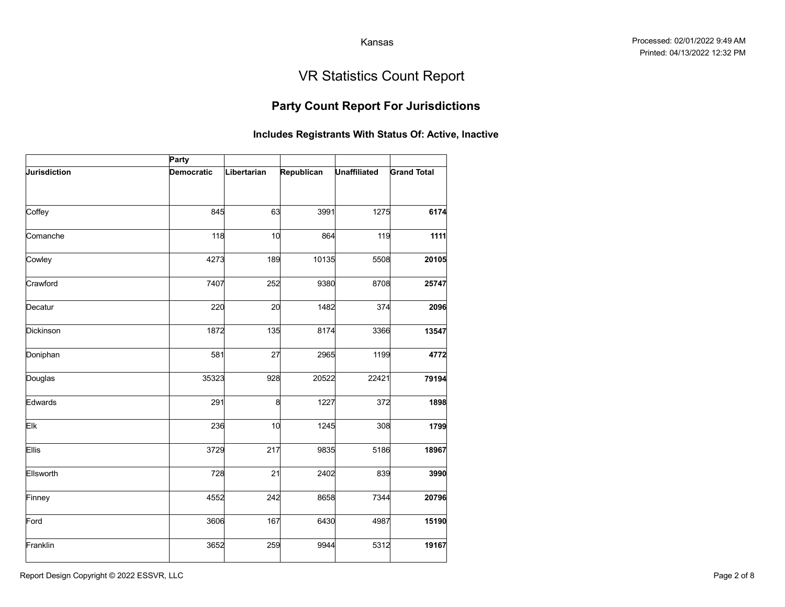## Party Count Report For Jurisdictions

|              |            |             |            | Kansas              |                                                       |
|--------------|------------|-------------|------------|---------------------|-------------------------------------------------------|
|              |            |             |            |                     |                                                       |
|              |            |             |            |                     | <b>VR Statistics Count Report</b>                     |
|              |            |             |            |                     | <b>Party Count Report For Jurisdictions</b>           |
|              |            |             |            |                     | Includes Registrants With Status Of: Active, Inactive |
|              | Party      |             |            |                     |                                                       |
| Jurisdiction | Democratic | Libertarian | Republican | <b>Unaffiliated</b> | <b>Grand Total</b>                                    |
| Coffey       | 845        | 63          | 3991       | 1275                | 6174                                                  |
| Comanche     | 118        | 10          | 864        | 119                 | 1111                                                  |
| Cowley       | 4273       | 189         | 10135      | 5508                | 20105                                                 |
| Crawford     | 7407       | 252         | 9380       | 8708                | 25747                                                 |
| Decatur      | 220        | 20          | 1482       | 374                 | 2096                                                  |
|              |            |             |            |                     |                                                       |
| Dickinson    | 1872       | 135         | 8174       | 3366                | 13547                                                 |
| Doniphan     | 581        | 27          | 2965       | 1199                | 4772                                                  |
| Douglas      | 35323      | 928         | 20522      | 22421               | 79194                                                 |
| Edwards      | 291        | 8           | 1227       | 372                 | 1898                                                  |
| Elk          | 236        | 10          | 1245       | 308                 | 1799                                                  |
| Ellis        | 3729       | 217         | 9835       | 5186                | 18967                                                 |
| Ellsworth    | 728        | 21          | 2402       | 839                 | 3990                                                  |
| Finney       | 4552       | 242         | 8658       | 7344                | 20796                                                 |
| Ford         | 3606       | 167         | 6430       | 4987                | 15190                                                 |
| Franklin     | 3652       | 259         | 9944       | 5312                | 19167                                                 |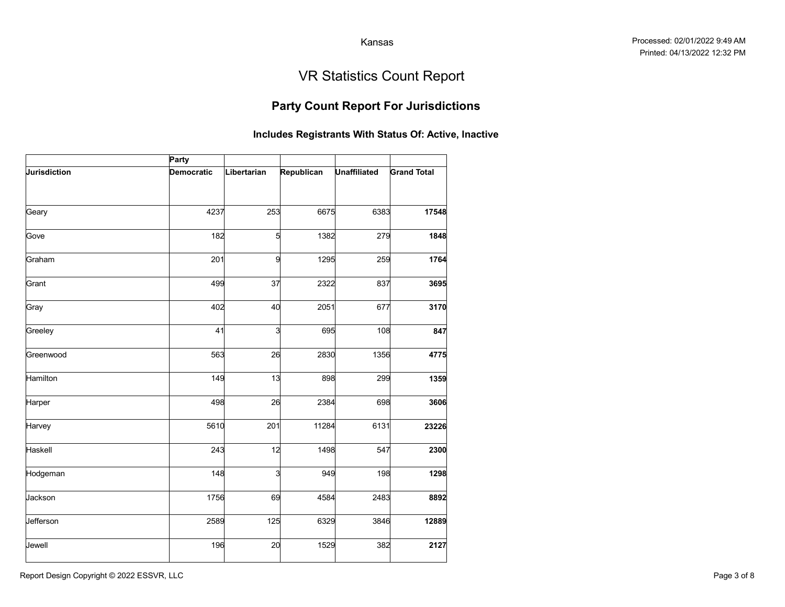## Party Count Report For Jurisdictions

|              |                   |             |                                                       | Kansas              |                                   |
|--------------|-------------------|-------------|-------------------------------------------------------|---------------------|-----------------------------------|
|              |                   |             |                                                       |                     |                                   |
|              |                   |             |                                                       |                     | <b>VR Statistics Count Report</b> |
|              |                   |             | <b>Party Count Report For Jurisdictions</b>           |                     |                                   |
|              |                   |             | Includes Registrants With Status Of: Active, Inactive |                     |                                   |
|              | Party             |             |                                                       |                     |                                   |
| Jurisdiction | <b>Democratic</b> | Libertarian | Republican                                            | <b>Unaffiliated</b> | <b>Grand Total</b>                |
| Geary        | 4237              | 253         | 6675                                                  | 6383                | 17548                             |
|              |                   |             |                                                       |                     |                                   |
| Gove         | 182               | 5           | 1382                                                  | 279                 | 1848                              |
| Graham       | 201               | 9           | 1295                                                  | 259                 | 1764                              |
| Grant        | 499               | 37          | 2322                                                  | 837                 | 3695                              |
| Gray         | 402               | 40          | 2051                                                  | 677                 | 3170                              |
| Greeley      | 41                | 3           | 695                                                   | 108                 | 847                               |
| Greenwood    | 563               | 26          | 2830                                                  | 1356                | 4775                              |
| Hamilton     | 149               | 13          | 898                                                   | 299                 | 1359                              |
| Harper       | 498               | 26          | 2384                                                  | 698                 | 3606                              |
| Harvey       | 5610              | 201         | 11284                                                 | 6131                | 23226                             |
| Haskell      | 243               | 12          | 1498                                                  | 547                 | 2300                              |
| Hodgeman     | 148               | 3           | 949                                                   | 198                 | 1298                              |
| Jackson      | 1756              | 69          | 4584                                                  | 2483                | 8892                              |
| Jefferson    | 2589              | 125         | 6329                                                  | 3846                | 12889                             |
| Jewell       | 196               | 20          | 1529                                                  | 382                 | 2127                              |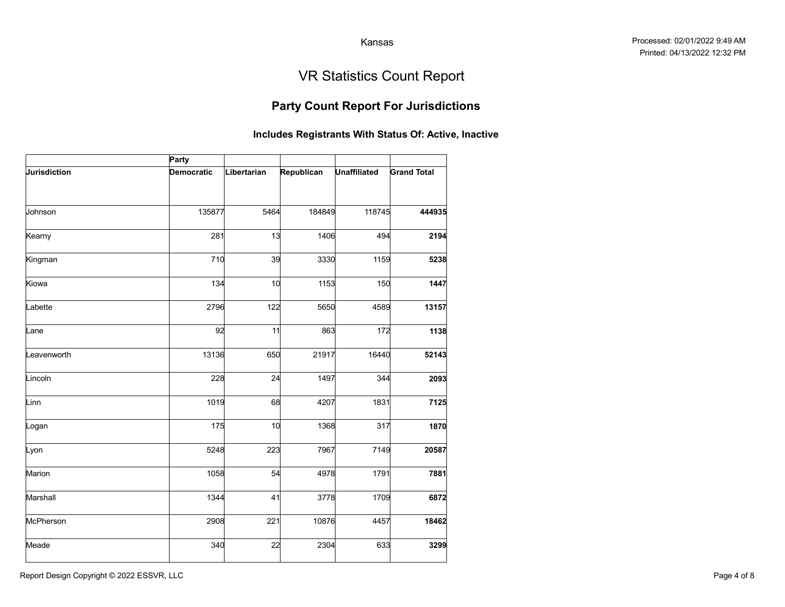## Party Count Report For Jurisdictions

|              |                   |             |                                                       | Kansas              |                                   |
|--------------|-------------------|-------------|-------------------------------------------------------|---------------------|-----------------------------------|
|              |                   |             |                                                       |                     |                                   |
|              |                   |             |                                                       |                     | <b>VR Statistics Count Report</b> |
|              |                   |             | <b>Party Count Report For Jurisdictions</b>           |                     |                                   |
|              |                   |             | Includes Registrants With Status Of: Active, Inactive |                     |                                   |
|              | Party             |             |                                                       |                     |                                   |
| Jurisdiction | <b>Democratic</b> | Libertarian | Republican                                            | <b>Unaffiliated</b> | <b>Grand Total</b>                |
|              |                   |             |                                                       |                     |                                   |
| Johnson      | 135877            | 5464        | 184849                                                | 118745              | 444935                            |
| Kearny       | 281               | 13          | 1406                                                  | 494                 | 2194                              |
| Kingman      | 710               | 39          | 3330                                                  | 1159                | 5238                              |
| Kiowa        | 134               | 10          | 1153                                                  | 150                 | 1447                              |
| Labette      | 2796              | 122         | 5650                                                  | 4589                | 13157                             |
| Lane         | 92                | 11          | 863                                                   | 172                 | 1138                              |
| .eavenworth  | 13136             | 650         | 21917                                                 | 16440               | 52143                             |
| Lincoln      | 228               | 24          | 1497                                                  | 344                 | 2093                              |
| Linn         | 1019              | 68          | 4207                                                  | 1831                | 7125                              |
| Logan        | 175               | 10          | 1368                                                  | 317                 | 1870                              |
| Lyon         | 5248              | 223         | 7967                                                  | 7149                | 20587                             |
| Marion       | 1058              | 54          | 4978                                                  | 1791                | 7881                              |
| Marshall     | 1344              | 41          | 3778                                                  | 1709                | 6872                              |
| McPherson    | 2908              | 221         | 10876                                                 | 4457                | 18462                             |
| Meade        | 340               | 22          | 2304                                                  | 633                 | 3299                              |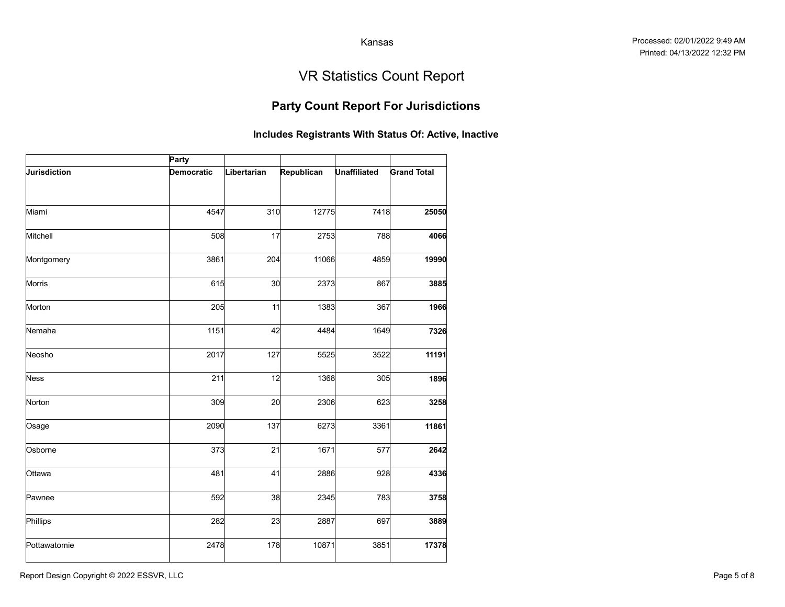## Party Count Report For Jurisdictions

|                     |            |             |                                                       | Kansas              |                                   |
|---------------------|------------|-------------|-------------------------------------------------------|---------------------|-----------------------------------|
|                     |            |             |                                                       |                     | <b>VR Statistics Count Report</b> |
|                     |            |             | <b>Party Count Report For Jurisdictions</b>           |                     |                                   |
|                     |            |             | Includes Registrants With Status Of: Active, Inactive |                     |                                   |
|                     | Party      |             |                                                       |                     |                                   |
| <b>Jurisdiction</b> | Democratic | Libertarian | Republican                                            | <b>Unaffiliated</b> | <b>Grand Total</b>                |
|                     |            |             |                                                       |                     |                                   |
| Miami               | 4547       | 310         | 12775                                                 | 7418                | 25050                             |
| Mitchell            | 508        | 17          | 2753                                                  | 788                 | 4066                              |
| Montgomery          | 3861       | 204         | 11066                                                 | 4859                | 19990                             |
| Morris              | 615        | 30          | 2373                                                  | 867                 | 3885                              |
| Morton              | 205        | 11          | 1383                                                  | 367                 | 1966                              |
| Nemaha              | 1151       | 42          | 4484                                                  | 1649                | 7326                              |
| Neosho              | 2017       | 127         | 5525                                                  | 3522                | 11191                             |
| <b>Ness</b>         | 211        | 12          | 1368                                                  | 305                 | 1896                              |
| Norton              | 309        | 20          | 2306                                                  | 623                 | 3258                              |
| Osage               | 2090       | 137         | 6273                                                  | 3361                | 11861                             |
| Osborne             | 373        | 21          | 1671                                                  | 577                 | 2642                              |
| Ottawa              | 481        | 41          | 2886                                                  | 928                 | 4336                              |
| Pawnee              | 592        | 38          | 2345                                                  | 783                 | 3758                              |
| Phillips            | 282        | 23          | 2887                                                  | 697                 | 3889                              |
| Pottawatomie        | 2478       | 178         | 10871                                                 | 3851                | 17378                             |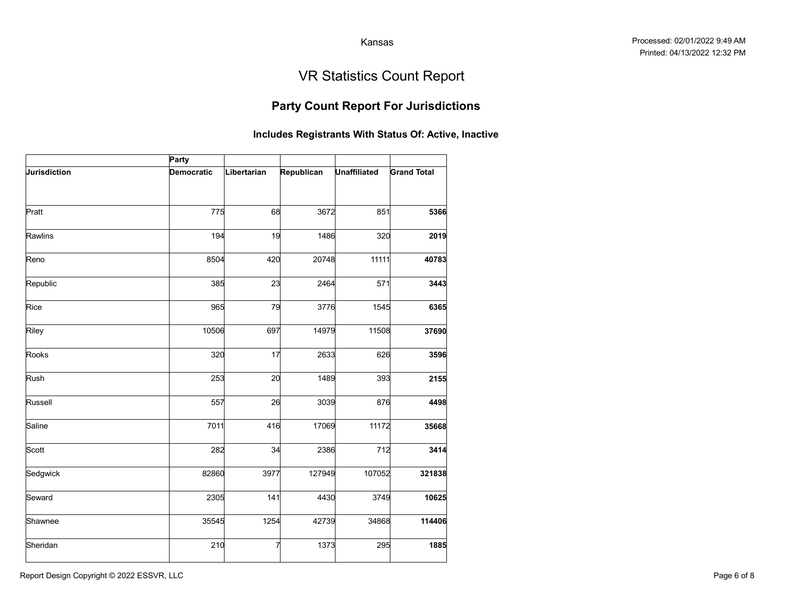## Party Count Report For Jurisdictions

|              |                   |             |                                                       | Kansas              |                                   |
|--------------|-------------------|-------------|-------------------------------------------------------|---------------------|-----------------------------------|
|              |                   |             |                                                       |                     |                                   |
|              |                   |             |                                                       |                     | <b>VR Statistics Count Report</b> |
|              |                   |             | <b>Party Count Report For Jurisdictions</b>           |                     |                                   |
|              |                   |             | Includes Registrants With Status Of: Active, Inactive |                     |                                   |
|              | Party             |             |                                                       |                     |                                   |
| Jurisdiction | <b>Democratic</b> | Libertarian | Republican                                            | <b>Unaffiliated</b> | <b>Grand Total</b>                |
|              |                   |             |                                                       |                     |                                   |
| Pratt        | 775               | 68          | 3672                                                  | 851                 | 5366                              |
| Rawlins      | 194               | 19          | 1486                                                  | 320                 | 2019                              |
| Reno         | 8504              | 420         | 20748                                                 | 11111               | 40783                             |
| Republic     | 385               | 23          | 2464                                                  | 571                 | 3443                              |
| Rice         | 965               | 79          | 3776                                                  | 1545                | 6365                              |
| Riley        | 10506             | 697         | 14979                                                 | 11508               | 37690                             |
| Rooks        | 320               | 17          | 2633                                                  | 626                 | 3596                              |
| Rush         | 253               | 20          | 1489                                                  | 393                 | 2155                              |
| Russell      | 557               | 26          | 3039                                                  | 876                 | 4498                              |
| Saline       | 7011              | 416         | 17069                                                 | 11172               | 35668                             |
| Scott        | 282               | 34          | 2386                                                  | 712                 | 3414                              |
| Sedgwick     | 82860             | 3977        | 127949                                                | 107052              | 321838                            |
| Seward       | 2305              | 141         | 4430                                                  | 3749                | 10625                             |
| Shawnee      | 35545             | 1254        | 42739                                                 | 34868               | 114406                            |
| Sheridan     | 210               | 7           | 1373                                                  | 295                 | 1885                              |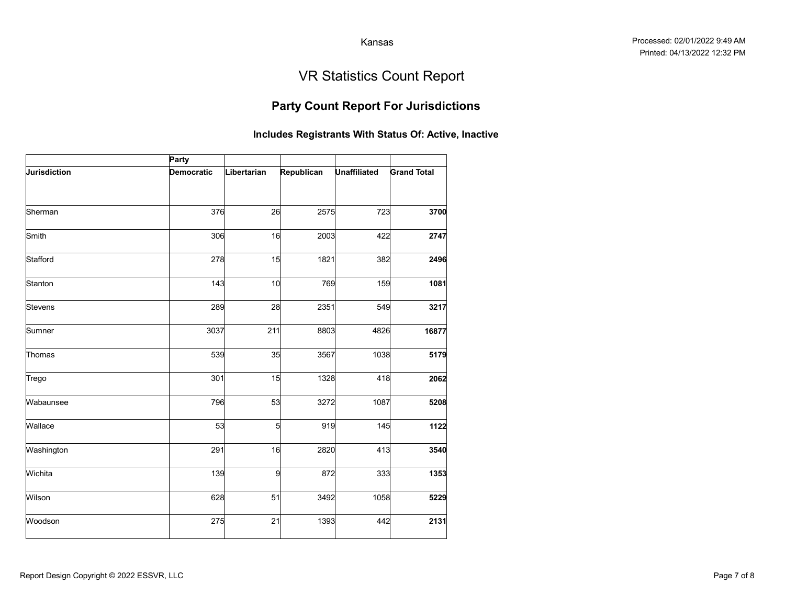## Party Count Report For Jurisdictions

|              |                   |             |                        | Kansas              |                                                       |
|--------------|-------------------|-------------|------------------------|---------------------|-------------------------------------------------------|
|              |                   |             |                        |                     | <b>VR Statistics Count Report</b>                     |
|              |                   |             |                        |                     | <b>Party Count Report For Jurisdictions</b>           |
|              |                   |             |                        |                     | Includes Registrants With Status Of: Active, Inactive |
|              | Party             |             |                        |                     |                                                       |
| Jurisdiction | <b>Democratic</b> | Libertarian | Republican             | <b>Unaffiliated</b> | <b>Grand Total</b>                                    |
| Sherman      | 376               | 26          | 2575                   | 723                 | 3700                                                  |
| Smith        | 306               | 16          | 2003                   | 422                 | 2747                                                  |
| Stafford     | 278               | 15          | 1821                   | 382                 | 2496                                                  |
| Stanton      | 143               | 10          | 769                    | 159                 | 1081                                                  |
| Stevens      | 289               | 28          | 2351                   | 549                 | 3217                                                  |
| Sumner       | 3037              | 211         | 8803                   | 4826                | 16877                                                 |
| Thomas       | 539               | 35          | 3567                   | 1038                | 5179                                                  |
| Trego        | 301               | 15          | 1328                   | 418                 | 2062                                                  |
| Wabaunsee    | 796               | 53          | 3272                   | 1087                | 5208                                                  |
| Wallace      | 53                |             | $5\overline{a}$<br>919 | 145                 | 1122                                                  |
| Washington   | 291               | 16          | 2820                   | 413                 | 3540                                                  |
| Wichita      | 139               |             | 872<br>9               | 333                 | 1353                                                  |
| Wilson       | 628               | 51          | 3492                   | 1058                | 5229                                                  |
| Woodson      | 275               | 21          | 1393                   | 442                 | 2131                                                  |